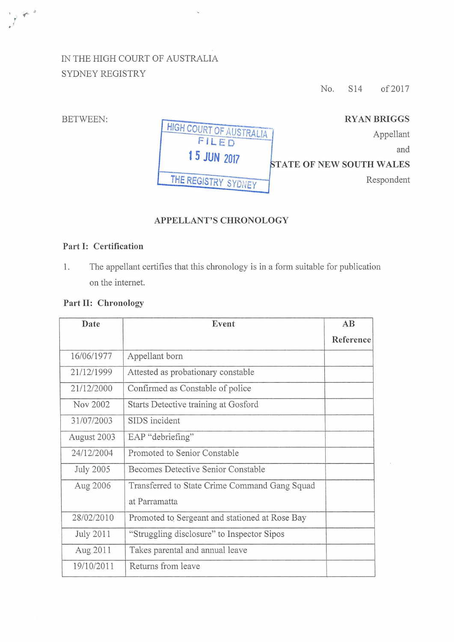## IN THE HIGH COURT OF AUSTRALIA SYDNEY REGISTRY

No. S14 of 2017

| <b>RYAN BRIGGS</b>              |                                |
|---------------------------------|--------------------------------|
| Appellant                       | HIGH COURT OF AUSTRAL<br>FILED |
| and                             | <b>15 JUN 2017</b>             |
| <b>STATE OF NEW SOUTH WALES</b> |                                |
| Respondent                      | THE REGISTRY SYDNEY            |

## APPELLANT'S CHRONOLOGY

## Part 1: Certification

1. The appellant certifies that this chronology is in a form suitable for publication on the internet.

## Part II: Chronology

| Date             | Event                                          | AB        |
|------------------|------------------------------------------------|-----------|
|                  |                                                | Reference |
| 16/06/1977       | Appellant born                                 |           |
| 21/12/1999       | Attested as probationary constable             |           |
| 21/12/2000       | Confirmed as Constable of police               |           |
| Nov 2002         | Starts Detective training at Gosford           |           |
| 31/07/2003       | SIDS incident                                  |           |
| August 2003      | EAP "debriefing"                               |           |
| 24/12/2004       | Promoted to Senior Constable                   |           |
| <b>July 2005</b> | Becomes Detective Senior Constable             |           |
| Aug 2006         | Transferred to State Crime Command Gang Squad  |           |
|                  | at Parramatta                                  |           |
| 28/02/2010       | Promoted to Sergeant and stationed at Rose Bay |           |
| July 2011        | "Struggling disclosure" to Inspector Sipos     |           |
| Aug 2011         | Takes parental and annual leave                |           |
| 19/10/2011       | Returns from leave                             |           |

BETWEEN:

( '

 $\sqrt{2}$